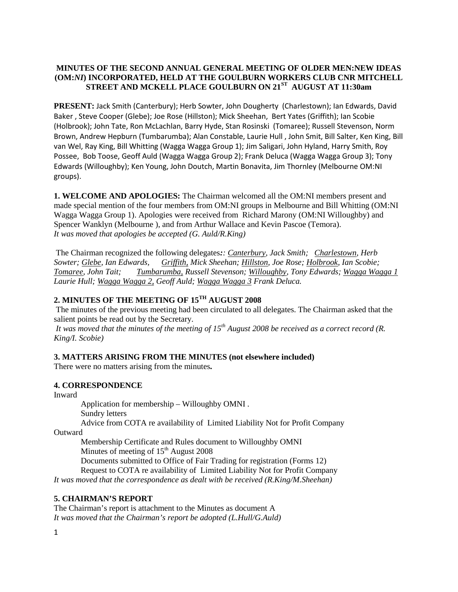## **MINUTES OF THE SECOND ANNUAL GENERAL MEETING OF OLDER MEN:NEW IDEAS (OM:***NI***) INCORPORATED, HELD AT THE GOULBURN WORKERS CLUB CNR MITCHELL STREET AND MCKELL PLACE GOULBURN ON 21ST AUGUST AT 11:30am**

**PRESENT:** Jack Smith (Canterbury); Herb Sowter, John Dougherty (Charlestown); Ian Edwards, David Baker , Steve Cooper (Glebe); Joe Rose (Hillston); Mick Sheehan, Bert Yates (Griffith); Ian Scobie (Holbrook); John Tate, Ron McLachlan, Barry Hyde, Stan Rosinski (Tomaree); Russell Stevenson, Norm Brown, Andrew Hepburn (Tumbarumba); Alan Constable, Laurie Hull , John Smit, Bill Salter, Ken King, Bill van Wel, Ray King, Bill Whitting (Wagga Wagga Group 1); Jim Saligari, John Hyland, Harry Smith, Roy Possee, Bob Toose, Geoff Auld (Wagga Wagga Group 2); Frank Deluca (Wagga Wagga Group 3); Tony Edwards (Willoughby); Ken Young, John Doutch, Martin Bonavita, Jim Thornley (Melbourne OM:NI groups).

**1. WELCOME AND APOLOGIES:** The Chairman welcomed all the OM:NI members present and made special mention of the four members from OM:NI groups in Melbourne and Bill Whitting (OM:NI Wagga Wagga Group 1). Apologies were received from Richard Marony (OM:NI Willoughby) and Spencer Wanklyn (Melbourne ), and from Arthur Wallace and Kevin Pascoe (Temora). *It was moved that apologies be accepted (G. Auld/R.King)*

The Chairman recognized the following delegates*:: Canterbury, Jack Smith; Charlestown, Herb Sowter; Glebe, Ian Edwards, Griffith, Mick Sheehan; Hillston, Joe Rose; Holbrook, Ian Scobie; Tomaree, John Tait; Tumbarumba, Russell Stevenson; Willoughby, Tony Edwards; Wagga Wagga 1 Laurie Hull; Wagga Wagga 2, Geoff Auld; Wagga Wagga 3 Frank Deluca.*

# **2. MINUTES OF THE MEETING OF 15TH AUGUST 2008**

The minutes of the previous meeting had been circulated to all delegates. The Chairman asked that the salient points be read out by the Secretary.

*It was moved that the minutes of the meeting of 15th August 2008 be received as a correct record (R. King/I. Scobie)*

## **3. MATTERS ARISING FROM THE MINUTES (not elsewhere included)**

There were no matters arising from the minutes*.*

## **4. CORRESPONDENCE**

Inward

Application for membership – Willoughby OMNI .

Sundry letters

Advice from COTA re availability of Limited Liability Not for Profit Company

**Outward** 

Membership Certificate and Rules document to Willoughby OMNI Minutes of meeting of  $15<sup>th</sup>$  August 2008

Documents submitted to Office of Fair Trading for registration (Forms 12)

Request to COTA re availability of Limited Liability Not for Profit Company

*It was moved that the correspondence as dealt with be received (R.King/M.Sheehan)*

## **5. CHAIRMAN'S REPORT**

The Chairman's report is attachment to the Minutes as document A *It was moved that the Chairman's report be adopted (L.Hull/G.Auld)*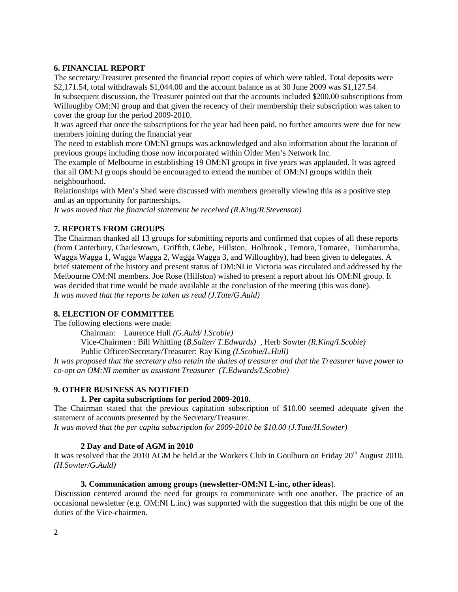## **6. FINANCIAL REPORT**

The secretary/Treasurer presented the financial report copies of which were tabled. Total deposits were \$2,171.54, total withdrawals \$1,044.00 and the account balance as at 30 June 2009 was \$1,127.54.

In subsequent discussion, the Treasurer pointed out that the accounts included \$200.00 subscriptions from Willoughby OM:NI group and that given the recency of their membership their subscription was taken to cover the group for the period 2009-2010.

It was agreed that once the subscriptions for the year had been paid, no further amounts were due for new members joining during the financial year

The need to establish more OM:NI groups was acknowledged and also information about the location of previous groups including those now incorporated within Older Men's Network Inc.

The example of Melbourne in establishing 19 OM:NI groups in five years was applauded. It was agreed that all OM:NI groups should be encouraged to extend the number of OM:NI groups within their neighbourhood.

Relationships with Men's Shed were discussed with members generally viewing this as a positive step and as an opportunity for partnerships.

*It was moved that the financial statement be received (R.King/R.Stevenson)*

## **7. REPORTS FROM GROUPS**

The Chairman thanked all 13 groups for submitting reports and confirmed that copies of all these reports (from Canterbury, Charlestown, Griffith, Glebe, Hillston, Holbrook , Temora, Tomaree, Tumbarumba, Wagga Wagga 1, Wagga Wagga 2, Wagga Wagga 3, and Willoughby), had been given to delegates. A brief statement of the history and present status of OM:NI in Victoria was circulated and addressed by the Melbourne OM:NI members. Joe Rose (Hillston) wished to present a report about his OM:NI group. It was decided that time would be made available at the conclusion of the meeting (this was done). *It was moved that the reports be taken as read (J.Tate/G.Auld)*

### **8. ELECTION OF COMMITTEE**

The following elections were made:

Chairman: Laurence Hull *(G.Auld/ I.Scobie)*

Vice-Chairmen : Bill Whitting (*B.Salter/ T.Edwards)* , Herb Sowter *(R.King/I.Scobie)*

Public Officer/Secretary/Treasurer: Ray King *(I.Scobie/L.Hull)*

*It was proposed that the secretary also retain the duties of treasurer and that the Treasurer have power to co-opt an OM:NI member as assistant Treasurer (T.Edwards/I.Scobie)*

#### **9. OTHER BUSINESS AS NOTIFIED**

#### **1. Per capita subscriptions for period 2009-2010.**

The Chairman stated that the previous capitation subscription of \$10.00 seemed adequate given the statement of accounts presented by the Secretary/Treasurer.

*It was moved that the per capita subscription for 2009-2010 be \$10.00 (J.Tate/H.Sowter)*

#### **2 Day and Date of AGM in 2010**

It was resolved that the 2010 AGM be held at the Workers Club in Goulburn on Friday 20<sup>th</sup> August 2010. *(H.Sowter/G.Auld)*

#### **3. Communication among groups (newsletter-OM:NI L-inc, other ideas**).

Discussion centered around the need for groups to communicate with one another. The practice of an occasional newsletter (e.g. OM:NI L.inc) was supported with the suggestion that this might be one of the duties of the Vice-chairmen.